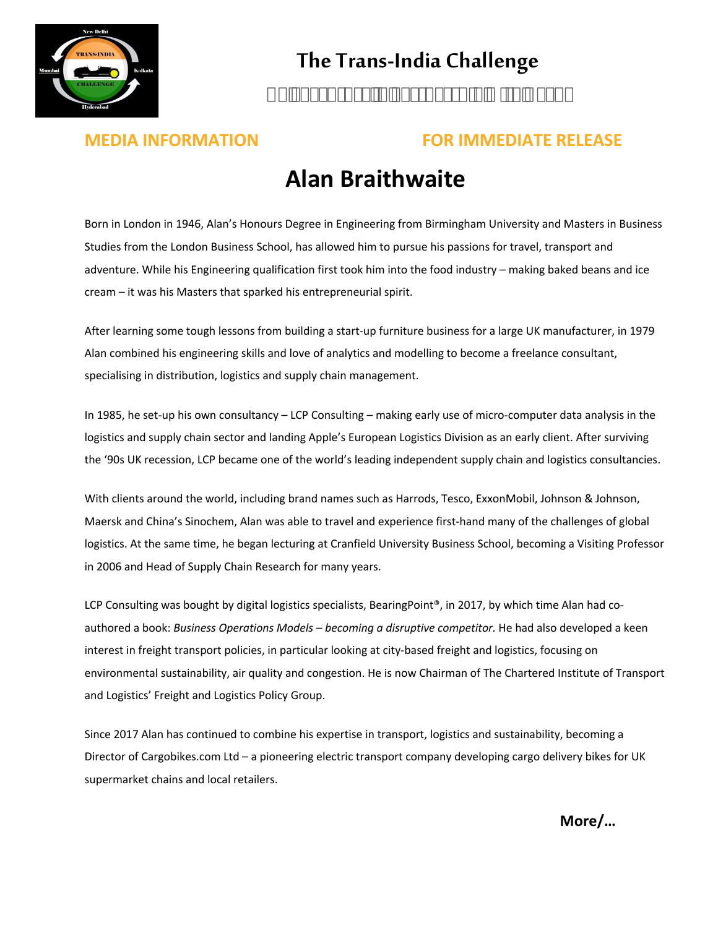

## **The Trans-India Challenge**

### **MEDIA INFORMATION FOR IMMEDIATE RELEASE**

## **Alan Braithwaite**

Born in London in 1946, Alan's Honours Degree in Engineering from Birmingham University and Masters in Business Studies from the London Business School, has allowed him to pursue his passions for travel, transport and adventure. While his Engineering qualification first took him into the food industry – making baked beans and ice cream – it was his Masters that sparked his entrepreneurial spirit.

After learning some tough lessons from building a start-up furniture business for a large UK manufacturer, in 1979 Alan combined his engineering skills and love of analytics and modelling to become a freelance consultant, specialising in distribution, logistics and supply chain management.

In 1985, he set-up his own consultancy – LCP Consulting – making early use of micro-computer data analysis in the logistics and supply chain sector and landing Apple's European Logistics Division as an early client. After surviving the '90s UK recession, LCP became one of the world's leading independent supply chain and logistics consultancies.

With clients around the world, including brand names such as Harrods, Tesco, ExxonMobil, Johnson & Johnson, Maersk and China's Sinochem, Alan was able to travel and experience first-hand many of the challenges of global logistics. At the same time, he began lecturing at Cranfield University Business School, becoming a Visiting Professor in 2006 and Head of Supply Chain Research for many years.

LCP Consulting was bought by digital logistics specialists, BearingPoint®, in 2017, by which time Alan had coauthored a book: *Business Operations Models – becoming a disruptive competitor.* He had also developed a keen interest in freight transport policies, in particular looking at city-based freight and logistics, focusing on environmental sustainability, air quality and congestion. He is now Chairman of The Chartered Institute of Transport and Logistics' Freight and Logistics Policy Group.

Since 2017 Alan has continued to combine his expertise in transport, logistics and sustainability, becoming a Director of Cargobikes.com Ltd – a pioneering electric transport company developing cargo delivery bikes for UK supermarket chains and local retailers.

**More/…**